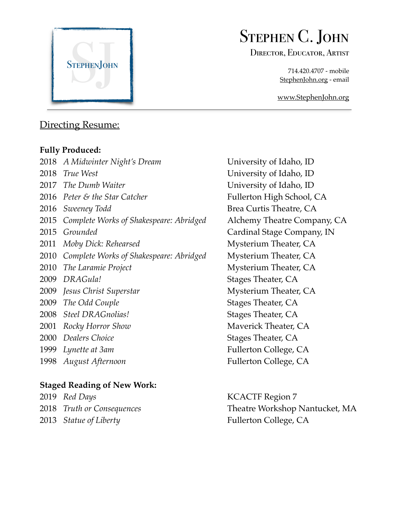

# STEPHEN C. JOHN

DIRECTOR, EDUCATOR, ARTIST

714.420.4707 - mobile [StephenJohn.org](http://StephenJohn.org) - email

[www.StephenJohn.org](http://www.StephenJohn.org)

## Directing Resume:

#### **Fully Produced:**

| 2018 | A Midwinter Night's Dream               | Un  |
|------|-----------------------------------------|-----|
| 2018 | True West                               | Un  |
|      | 2017 The Dumb Waiter                    | Un  |
| 2016 | Peter & the Star Catcher                | Ful |
| 2016 | Sweeney Todd                            | Bre |
| 2015 | Complete Works of Shakespeare: Abridged | Alo |
| 2015 | Grounded                                | Ca  |
| 2011 | Moby Dick: Rehearsed                    | My  |
| 2010 | Complete Works of Shakespeare: Abridged | Мy  |
| 2010 | The Laramie Project                     | Мy  |
| 2009 | DRAGula!                                | Sta |
| 2009 | Jesus Christ Superstar                  | Мy  |
| 2009 | The Odd Couple                          | Sta |
| 2008 | <b>Steel DRAGnolias!</b>                | Sta |
| 2001 | Rocky Horror Show                       | Ma  |
| 2000 | Dealers Choice                          | Sta |
| 1999 | Lynette at 3am                          | Ful |
| 1998 | August Afternoon                        | Ful |
|      |                                         |     |
|      |                                         |     |

#### **Staged Reading of New Work:**

2019 *Red Days* KCACTF Region 7 2013 *Statue of Liberty* Fullerton College, CA

2018 *A Midwinter Night's Dream* University of Idaho, ID *True True Islaho*, ID *I I D The Dumb ID Perton High School, CA* **2016 • Superior CA** chemy Theatre Company, CA rdinal Stage Company, IN 2011 *Moby Dick: Rehearsed* Mysterium Theater, CA 2010 *Complete Works of Shakespeare: Abridged* Mysterium Theater, CA 2010 *The Laramie Project* Mysterium Theater, CA ges Theater, CA *zsterium Theater, CA* ges Theater, CA 2008 *Steel DRAGnolias!* Stages Theater, CA *Robin Rock Theater, CA* ges Theater, CA **1** *Lerton* College, CA **Ilerton College, CA** 

2018 *Truth or Consequences* Theatre Workshop Nantucket, MA